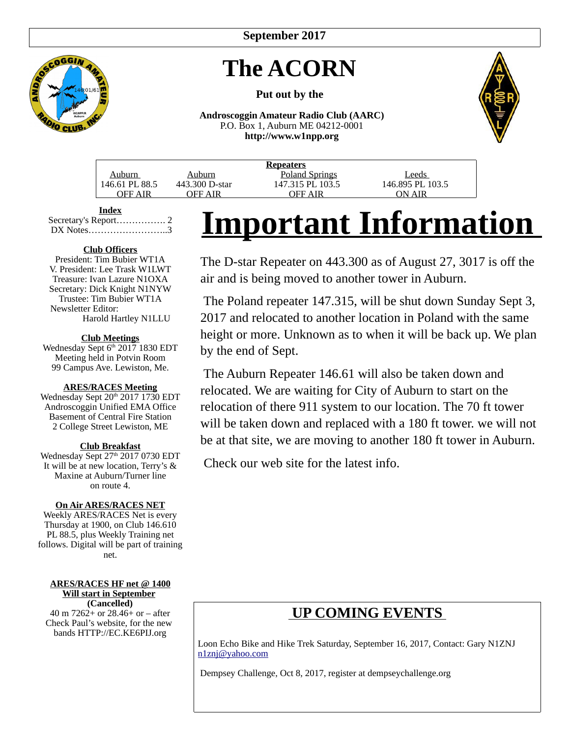**September 2017**

# **The ACORN**

#### **Put out by the**

**Androscoggin Amateur Radio Club (AARC)** P.O. Box 1, Auburn ME 04212-0001 **http://www.w1npp.org**



**Index** Secretary's Report……………. 2 DX Notes……………………..3

#### **Club Officers**

President: Tim Bubier WT1A V. President: Lee Trask W1LWT Treasure: Ivan Lazure N1OXA Secretary: Dick Knight N1NYW Trustee: Tim Bubier WT1A Newsletter Editor: Harold Hartley N1LLU

#### **Club Meetings**

Wednesday Sept 6<sup>th</sup> 2017 1830 EDT Meeting held in Potvin Room 99 Campus Ave. Lewiston, Me.

#### **ARES/RACES Meeting**

Wednesday Sept 20<sup>th</sup> 2017 1730 EDT Androscoggin Unified EMA Office Basement of Central Fire Station 2 College Street Lewiston, ME

#### **Club Breakfast**

Wednesday Sept 27<sup>th</sup> 2017 0730 EDT It will be at new location, Terry's & Maxine at Auburn/Turner line on route 4.

#### **On Air ARES/RACES NET**

Weekly ARES/RACES Net is every Thursday at 1900, on Club 146.610 PL 88.5, plus Weekly Training net follows. Digital will be part of training net.

#### **ARES/RACES HF net @ 1400 Will start in September (Cancelled)**

40 m 7262+ or 28.46+ or – after Check Paul's website, for the new bands HTTP://EC.KE6PIJ.org

# **Important Information**

The D-star Repeater on 443.300 as of August 27, 3017 is off the air and is being moved to another tower in Auburn.

 The Poland repeater 147.315, will be shut down Sunday Sept 3, 2017 and relocated to another location in Poland with the same height or more. Unknown as to when it will be back up. We plan by the end of Sept.

 The Auburn Repeater 146.61 will also be taken down and relocated. We are waiting for City of Auburn to start on the relocation of there 911 system to our location. The 70 ft tower will be taken down and replaced with a 180 ft tower. we will not be at that site, we are moving to another 180 ft tower in Auburn.

Check our web site for the latest info.

## **UP COMING EVENTS**

Loon Echo Bike and Hike Trek Saturday, September 16, 2017, Contact: Gary N1ZNJ [n1znj@yahoo.com](mailto:n1znj@yahoo.com)

Dempsey Challenge, Oct 8, 2017, register at dempseychallenge.org

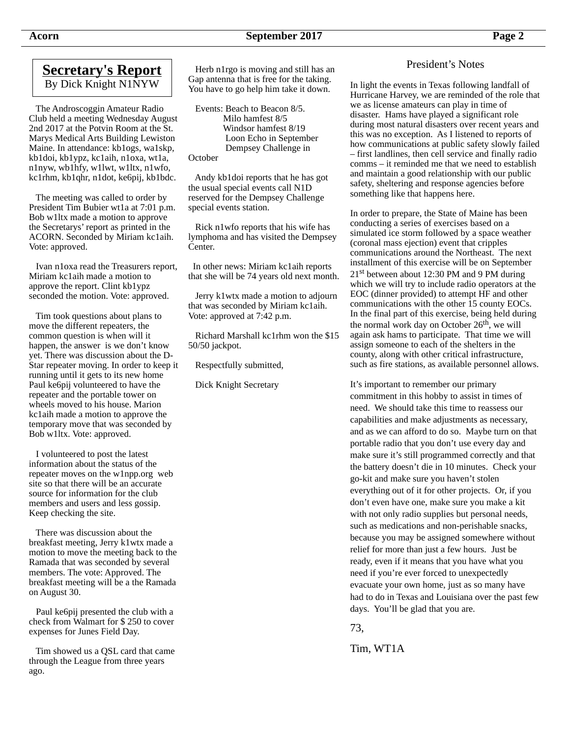#### **Secretary's Report** By Dick Knight N1NYW

 The Androscoggin Amateur Radio Club held a meeting Wednesday August 2nd 2017 at the Potvin Room at the St. Marys Medical Arts Building Lewiston Maine. In attendance: kb1ogs, wa1skp, kb1doi, kb1ypz, kc1aih, n1oxa, wt1a, n1nyw, wb1hfy, w1lwt, w1ltx, n1wfo, kc1rhm, kb1qhr, n1dot, ke6pij, kb1bdc.

 The meeting was called to order by President Tim Bubier wt1a at 7:01 p.m. Bob w1ltx made a motion to approve the Secretarys' report as printed in the ACORN. Seconded by Miriam kc1aih. Vote: approved.

 Ivan n1oxa read the Treasurers report, Miriam kc1aih made a motion to approve the report. Clint kb1ypz seconded the motion. Vote: approved.

 Tim took questions about plans to move the different repeaters, the common question is when will it happen, the answer is we don't know yet. There was discussion about the D-Star repeater moving. In order to keep it running until it gets to its new home Paul ke6pij volunteered to have the repeater and the portable tower on wheels moved to his house. Marion kc1aih made a motion to approve the temporary move that was seconded by Bob w1ltx. Vote: approved.

 I volunteered to post the latest information about the status of the repeater moves on the w1npp.org web site so that there will be an accurate source for information for the club members and users and less gossip. Keep checking the site.

 There was discussion about the breakfast meeting, Jerry k1wtx made a motion to move the meeting back to the Ramada that was seconded by several members. The vote: Approved. The breakfast meeting will be a the Ramada on August 30.

 Paul ke6pij presented the club with a check from Walmart for \$ 250 to cover expenses for Junes Field Day.

 Tim showed us a QSL card that came through the League from three years ago.

 Herb n1rgo is moving and still has an Gap antenna that is free for the taking. You have to go help him take it down.

 Events: Beach to Beacon 8/5. Milo hamfest 8/5 Windsor hamfest 8/19 Loon Echo in September Dempsey Challenge in **October** 

 Andy kb1doi reports that he has got the usual special events call N1D reserved for the Dempsey Challenge special events station.

 Rick n1wfo reports that his wife has lymphoma and has visited the Dempsey Center.

 In other news: Miriam kc1aih reports that she will be 74 years old next month.

 Jerry k1wtx made a motion to adjourn that was seconded by Miriam kc1aih. Vote: approved at 7:42 p.m.

 Richard Marshall kc1rhm won the \$15 50/50 jackpot.

Respectfully submitted,

Dick Knight Secretary

President's Notes

In light the events in Texas following landfall of Hurricane Harvey, we are reminded of the role that we as license amateurs can play in time of disaster. Hams have played a significant role during most natural disasters over recent years and this was no exception. As I listened to reports of how communications at public safety slowly failed – first landlines, then cell service and finally radio comms – it reminded me that we need to establish and maintain a good relationship with our public safety, sheltering and response agencies before something like that happens here.

In order to prepare, the State of Maine has been conducting a series of exercises based on a simulated ice storm followed by a space weather (coronal mass ejection) event that cripples communications around the Northeast. The next installment of this exercise will be on September 21<sup>st</sup> between about 12:30 PM and 9 PM during which we will try to include radio operators at the EOC (dinner provided) to attempt HF and other communications with the other 15 county EOCs. In the final part of this exercise, being held during the normal work day on October  $26<sup>th</sup>$ , we will again ask hams to participate. That time we will assign someone to each of the shelters in the county, along with other critical infrastructure, such as fire stations, as available personnel allows.

It's important to remember our primary commitment in this hobby to assist in times of need. We should take this time to reassess our capabilities and make adjustments as necessary, and as we can afford to do so. Maybe turn on that portable radio that you don't use every day and make sure it's still programmed correctly and that the battery doesn't die in 10 minutes. Check your go-kit and make sure you haven't stolen everything out of it for other projects. Or, if you don't even have one, make sure you make a kit with not only radio supplies but personal needs, such as medications and non-perishable snacks, because you may be assigned somewhere without relief for more than just a few hours. Just be ready, even if it means that you have what you need if you're ever forced to unexpectedly evacuate your own home, just as so many have had to do in Texas and Louisiana over the past few days. You'll be glad that you are.

73,

Tim, WT1A